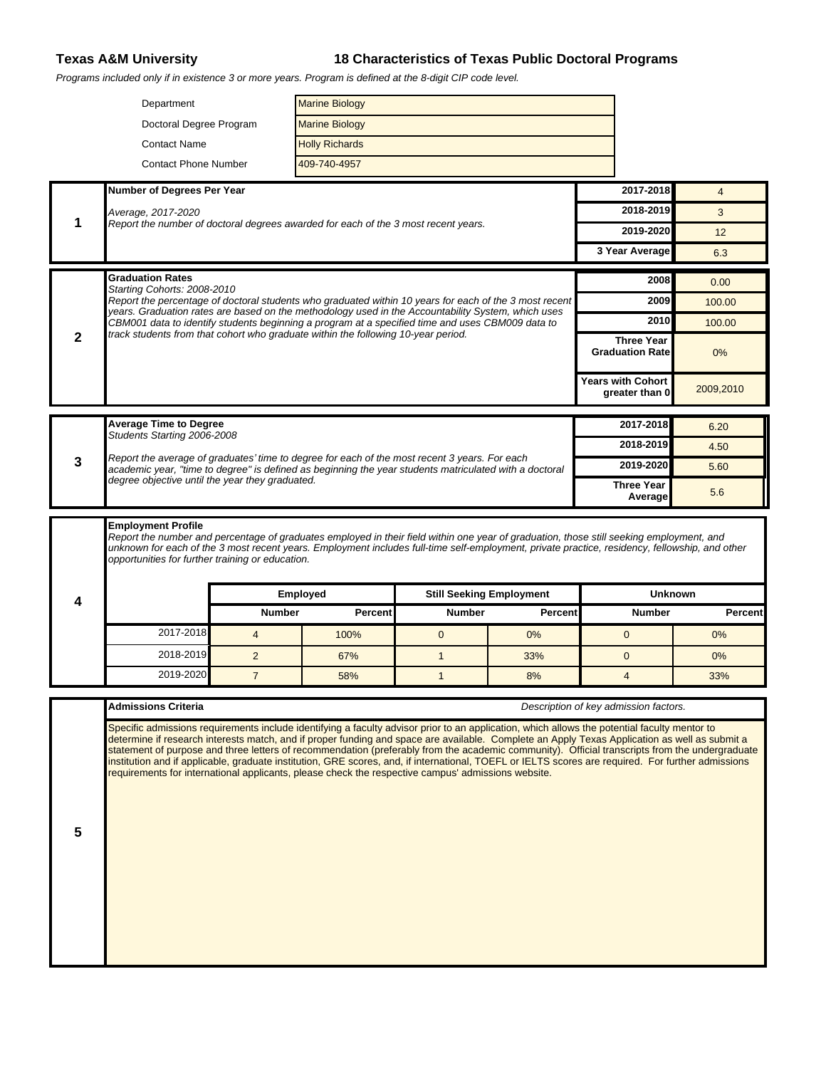## **Texas A&M University 18 Characteristics of Texas Public Doctoral Programs**

Programs included only if in existence 3 or more years. Program is defined at the 8-digit CIP code level.

|   | <b>Marine Biology</b><br>Department                                                                                                                                                                                                                                                                                                            |                       |                       |                                 |                |                                             |                |
|---|------------------------------------------------------------------------------------------------------------------------------------------------------------------------------------------------------------------------------------------------------------------------------------------------------------------------------------------------|-----------------------|-----------------------|---------------------------------|----------------|---------------------------------------------|----------------|
|   | Doctoral Degree Program                                                                                                                                                                                                                                                                                                                        |                       | <b>Marine Biology</b> |                                 |                |                                             |                |
|   | <b>Contact Name</b>                                                                                                                                                                                                                                                                                                                            | <b>Holly Richards</b> |                       |                                 |                |                                             |                |
|   | <b>Contact Phone Number</b>                                                                                                                                                                                                                                                                                                                    |                       | 409-740-4957          |                                 |                |                                             |                |
|   | Number of Degrees Per Year                                                                                                                                                                                                                                                                                                                     |                       |                       |                                 |                | 2017-2018                                   | $\overline{4}$ |
|   | Average, 2017-2020<br>Report the number of doctoral degrees awarded for each of the 3 most recent years.                                                                                                                                                                                                                                       |                       |                       |                                 |                | 2018-2019                                   | 3              |
| 1 |                                                                                                                                                                                                                                                                                                                                                |                       |                       |                                 |                | 2019-2020                                   | 12             |
|   |                                                                                                                                                                                                                                                                                                                                                |                       |                       |                                 |                | 3 Year Average                              | 6.3            |
|   | <b>Graduation Rates</b>                                                                                                                                                                                                                                                                                                                        |                       |                       |                                 |                |                                             | 0.00           |
|   | Starting Cohorts: 2008-2010<br>Report the percentage of doctoral students who graduated within 10 years for each of the 3 most recent                                                                                                                                                                                                          |                       |                       |                                 |                | 2009                                        | 100.00         |
|   | years. Graduation rates are based on the methodology used in the Accountability System, which uses<br>CBM001 data to identify students beginning a program at a specified time and uses CBM009 data to                                                                                                                                         |                       |                       |                                 |                | 2010                                        | 100.00         |
| 2 | track students from that cohort who graduate within the following 10-year period.                                                                                                                                                                                                                                                              |                       |                       |                                 |                | <b>Three Year</b><br><b>Graduation Rate</b> | $0\%$          |
|   |                                                                                                                                                                                                                                                                                                                                                |                       |                       |                                 |                | <b>Years with Cohort</b><br>greater than 0  | 2009,2010      |
|   | <b>Average Time to Degree</b>                                                                                                                                                                                                                                                                                                                  |                       |                       |                                 |                | 2017-2018                                   | 6.20           |
|   | Students Starting 2006-2008                                                                                                                                                                                                                                                                                                                    |                       |                       |                                 |                | 2018-2019                                   | 4.50           |
| 3 | Report the average of graduates' time to degree for each of the most recent 3 years. For each<br>academic year, "time to degree" is defined as beginning the year students matriculated with a doctoral                                                                                                                                        |                       |                       |                                 |                | 2019-2020                                   | 5.60           |
|   | degree objective until the year they graduated.                                                                                                                                                                                                                                                                                                |                       |                       |                                 |                | <b>Three Year</b><br>Average                | 5.6            |
|   | <b>Employment Profile</b>                                                                                                                                                                                                                                                                                                                      |                       |                       |                                 |                |                                             |                |
|   | Report the number and percentage of graduates employed in their field within one year of graduation, those still seeking employment, and<br>unknown for each of the 3 most recent years. Employment includes full-time self-employment, private practice, residency, fellowship, and other<br>opportunities for further training or education. | Employed              |                       | <b>Still Seeking Employment</b> |                | <b>Unknown</b>                              |                |
| 4 |                                                                                                                                                                                                                                                                                                                                                | <b>Number</b>         | <b>Percent</b>        | <b>Number</b>                   | <b>Percent</b> | <b>Number</b>                               | <b>Percent</b> |
|   | 2017-2018                                                                                                                                                                                                                                                                                                                                      | $\overline{4}$        | 100%                  | $\mathbf{0}$                    | 0%             | $\mathbf{0}$                                | 0%             |
|   | 2018-2019                                                                                                                                                                                                                                                                                                                                      | $\overline{2}$        | 67%                   | $\mathbf{1}$                    | 33%            | $\mathbf{0}$                                | 0%             |
|   | 2019-2020                                                                                                                                                                                                                                                                                                                                      | $\overline{7}$        | 58%                   | $\mathbf{1}$                    | 8%             | $\overline{4}$                              | 33%            |
|   | Admissions Criteria                                                                                                                                                                                                                                                                                                                            |                       |                       |                                 |                | Description of key admission factors.       |                |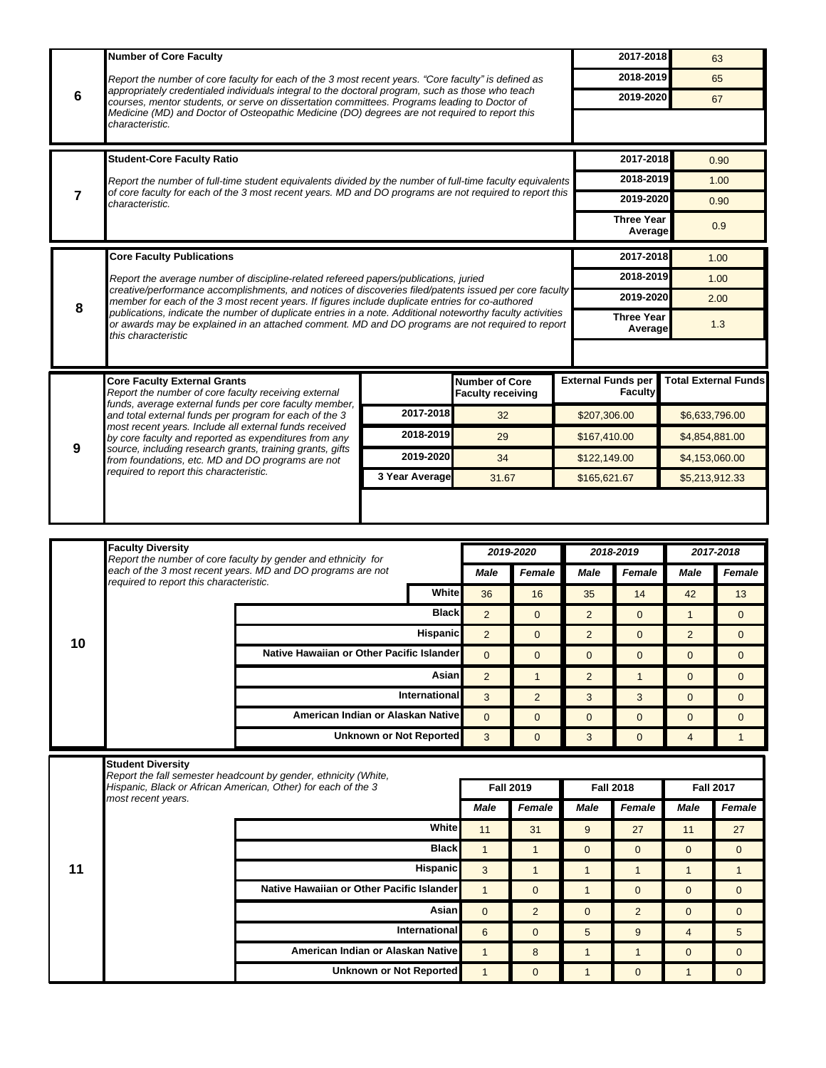|    | <b>Number of Core Faculty</b>                                                                                                                                                                                                                                                                                                                         |                                           |                                                                     |                          |                  |                           | 2017-2018                    |                                  |                                  |  |
|----|-------------------------------------------------------------------------------------------------------------------------------------------------------------------------------------------------------------------------------------------------------------------------------------------------------------------------------------------------------|-------------------------------------------|---------------------------------------------------------------------|--------------------------|------------------|---------------------------|------------------------------|----------------------------------|----------------------------------|--|
| 6  | Report the number of core faculty for each of the 3 most recent years. "Core faculty" is defined as                                                                                                                                                                                                                                                   |                                           |                                                                     |                          |                  |                           |                              |                                  | 63                               |  |
|    |                                                                                                                                                                                                                                                                                                                                                       |                                           |                                                                     |                          |                  |                           | 2018-2019                    |                                  | 65                               |  |
|    | appropriately credentialed individuals integral to the doctoral program, such as those who teach<br>courses, mentor students, or serve on dissertation committees. Programs leading to Doctor of                                                                                                                                                      |                                           |                                                                     |                          |                  |                           | 2019-2020                    |                                  | 67                               |  |
|    | Medicine (MD) and Doctor of Osteopathic Medicine (DO) degrees are not required to report this<br>characteristic.                                                                                                                                                                                                                                      |                                           |                                                                     |                          |                  |                           |                              |                                  |                                  |  |
|    |                                                                                                                                                                                                                                                                                                                                                       |                                           |                                                                     |                          |                  |                           |                              |                                  |                                  |  |
|    | <b>Student-Core Faculty Ratio</b>                                                                                                                                                                                                                                                                                                                     |                                           |                                                                     |                          |                  |                           | 2017-2018                    |                                  | 0.90                             |  |
|    | Report the number of full-time student equivalents divided by the number of full-time faculty equivalents<br>of core faculty for each of the 3 most recent years. MD and DO programs are not required to report this                                                                                                                                  |                                           |                                                                     |                          |                  |                           | 2018-2019                    |                                  | 1.00                             |  |
| 7  | characteristic.                                                                                                                                                                                                                                                                                                                                       |                                           |                                                                     |                          |                  |                           | 2019-2020                    |                                  | 0.90                             |  |
|    |                                                                                                                                                                                                                                                                                                                                                       |                                           |                                                                     |                          |                  |                           | <b>Three Year</b><br>Average |                                  | 0.9                              |  |
|    |                                                                                                                                                                                                                                                                                                                                                       |                                           |                                                                     |                          |                  |                           | 2017-2018                    |                                  |                                  |  |
|    | <b>Core Faculty Publications</b>                                                                                                                                                                                                                                                                                                                      |                                           |                                                                     |                          |                  |                           | 2018-2019                    |                                  | 1.00                             |  |
|    | Report the average number of discipline-related refereed papers/publications, juried<br>creative/performance accomplishments, and notices of discoveries filed/patents issued per core faculty                                                                                                                                                        |                                           |                                                                     |                          |                  |                           | 2019-2020                    |                                  | 1.00<br>2.00                     |  |
| 8  | member for each of the 3 most recent years. If figures include duplicate entries for co-authored<br>publications, indicate the number of duplicate entries in a note. Additional noteworthy faculty activities                                                                                                                                        |                                           |                                                                     |                          |                  |                           | <b>Three Year</b>            |                                  |                                  |  |
|    | or awards may be explained in an attached comment. MD and DO programs are not required to report<br>this characteristic                                                                                                                                                                                                                               |                                           |                                                                     |                          |                  |                           | Average                      |                                  | 1.3                              |  |
|    |                                                                                                                                                                                                                                                                                                                                                       |                                           |                                                                     |                          |                  |                           |                              |                                  |                                  |  |
|    | <b>Core Faculty External Grants</b>                                                                                                                                                                                                                                                                                                                   |                                           |                                                                     | <b>Number of Core</b>    |                  | <b>External Funds per</b> |                              |                                  | <b>Total External Funds</b>      |  |
|    | Report the number of core faculty receiving external                                                                                                                                                                                                                                                                                                  |                                           |                                                                     | <b>Faculty receiving</b> |                  |                           | <b>Faculty</b>               |                                  |                                  |  |
|    | funds, average external funds per core faculty member,<br>and total external funds per program for each of the 3<br>most recent years. Include all external funds received<br>by core faculty and reported as expenditures from any<br>source, including research grants, training grants, gifts<br>from foundations, etc. MD and DO programs are not |                                           | 2017-2018                                                           | 32                       |                  | \$207,306.00              |                              | \$6,633,796.00                   |                                  |  |
|    |                                                                                                                                                                                                                                                                                                                                                       |                                           | 2018-2019                                                           | 29                       |                  | \$167,410.00              |                              | \$4,854,881.00                   |                                  |  |
| 9  |                                                                                                                                                                                                                                                                                                                                                       |                                           | 2019-2020                                                           | 34                       |                  |                           | \$122,149.00                 |                                  | \$4,153,060.00                   |  |
|    | required to report this characteristic.                                                                                                                                                                                                                                                                                                               |                                           | 3 Year Average                                                      |                          | 31.67            |                           | \$165,621.67                 | \$5,213,912.33                   |                                  |  |
|    |                                                                                                                                                                                                                                                                                                                                                       |                                           |                                                                     |                          |                  |                           |                              |                                  |                                  |  |
|    |                                                                                                                                                                                                                                                                                                                                                       |                                           |                                                                     |                          |                  |                           |                              |                                  |                                  |  |
|    | <b>Faculty Diversity</b>                                                                                                                                                                                                                                                                                                                              |                                           |                                                                     |                          | 2019-2020        |                           | 2018-2019                    |                                  | 2017-2018                        |  |
|    | Report the number of core faculty by gender and ethnicity for<br>each of the 3 most recent years. MD and DO programs are not                                                                                                                                                                                                                          |                                           |                                                                     | Male                     | Female           | Male                      | Female                       | Male                             | <b>Female</b>                    |  |
|    | required to report this characteristic.                                                                                                                                                                                                                                                                                                               |                                           |                                                                     |                          |                  |                           |                              |                                  |                                  |  |
|    |                                                                                                                                                                                                                                                                                                                                                       |                                           |                                                                     |                          |                  |                           |                              |                                  |                                  |  |
|    |                                                                                                                                                                                                                                                                                                                                                       |                                           | White                                                               | 36                       | 16               | 35                        | 14                           | 42                               | 13                               |  |
|    |                                                                                                                                                                                                                                                                                                                                                       |                                           | <b>Black</b>                                                        | $\overline{2}$           | $\overline{0}$   | $\overline{2}$            | $\overline{0}$               | $\mathbf{1}$                     | $\overline{0}$                   |  |
| 10 |                                                                                                                                                                                                                                                                                                                                                       | Native Hawaiian or Other Pacific Islander | Hispanic                                                            | $\overline{2}$           | $\overline{0}$   | 2                         | $\overline{0}$               | 2                                | $\overline{0}$                   |  |
|    |                                                                                                                                                                                                                                                                                                                                                       |                                           |                                                                     | $\overline{0}$           | $\mathbf{0}$     | $\mathbf{0}$              | $\mathbf{0}$                 | $\mathbf{0}$                     | $\overline{0}$                   |  |
|    |                                                                                                                                                                                                                                                                                                                                                       |                                           | Asian<br>International                                              | $\overline{2}$           | $\mathbf{1}$     | $\overline{2}$            | $\mathbf{1}$                 | $\mathbf{0}$                     | $\overline{0}$                   |  |
|    |                                                                                                                                                                                                                                                                                                                                                       |                                           | American Indian or Alaskan Native                                   | 3<br>$\Omega$            | $\overline{2}$   | 3                         | 3<br>$\mathbf{0}$            | $\overline{0}$                   | $\overline{0}$<br>$\overline{0}$ |  |
|    |                                                                                                                                                                                                                                                                                                                                                       |                                           | <b>Unknown or Not Reported</b>                                      | 3                        | $\overline{0}$   | $\mathbf{0}$              | $\mathbf{0}$                 | $\overline{0}$<br>$\overline{4}$ | $\mathbf{1}$                     |  |
|    |                                                                                                                                                                                                                                                                                                                                                       |                                           |                                                                     |                          | $\overline{0}$   | 3                         |                              |                                  |                                  |  |
|    | <b>Student Diversity</b><br>Report the fall semester headcount by gender, ethnicity (White,                                                                                                                                                                                                                                                           |                                           |                                                                     |                          |                  |                           |                              |                                  |                                  |  |
|    | Hispanic, Black or African American, Other) for each of the 3<br>most recent years.                                                                                                                                                                                                                                                                   |                                           |                                                                     |                          | <b>Fall 2019</b> |                           | <b>Fall 2018</b>             |                                  | <b>Fall 2017</b>                 |  |
|    |                                                                                                                                                                                                                                                                                                                                                       |                                           |                                                                     | Male                     | Female           | Male                      | Female                       | Male                             | Female                           |  |
|    |                                                                                                                                                                                                                                                                                                                                                       |                                           | <b>White</b>                                                        | 11                       | 31               | 9                         | 27                           | 11                               | 27                               |  |
|    |                                                                                                                                                                                                                                                                                                                                                       |                                           | <b>Black</b>                                                        | $\mathbf{1}$             | $\mathbf{1}$     | $\mathbf{0}$              | $\overline{0}$               | $\mathbf{0}$                     | $\overline{0}$                   |  |
| 11 |                                                                                                                                                                                                                                                                                                                                                       |                                           | <b>Hispanic</b>                                                     | 3                        | $\mathbf{1}$     | $\mathbf{1}$              | $\mathbf{1}$                 | $\mathbf{1}$                     | $\mathbf{1}$                     |  |
|    |                                                                                                                                                                                                                                                                                                                                                       | Native Hawaiian or Other Pacific Islander |                                                                     | $\mathbf{1}$             | $\mathbf{0}$     | $\mathbf{1}$              | $\overline{0}$               | $\overline{0}$                   | $\overline{0}$                   |  |
|    |                                                                                                                                                                                                                                                                                                                                                       |                                           | Asian                                                               | $\overline{0}$           | $\overline{2}$   | $\mathbf{0}$              | $\overline{2}$               | $\overline{0}$                   | $\overline{0}$                   |  |
|    |                                                                                                                                                                                                                                                                                                                                                       |                                           | International                                                       | 6                        | $\mathbf{0}$     | 5                         | 9                            | $\overline{4}$                   | 5                                |  |
|    |                                                                                                                                                                                                                                                                                                                                                       |                                           | American Indian or Alaskan Native<br><b>Unknown or Not Reported</b> | $\mathbf{1}$             | 8                | $\mathbf{1}$              | $\mathbf{1}$                 | $\mathbf{0}$                     | $\overline{0}$                   |  |